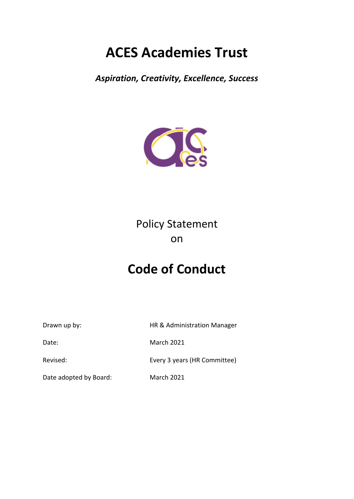# **ACES Academies Trust**

*Aspiration, Creativity, Excellence, Success*



# Policy Statement on

# **Code of Conduct**

Drawn up by: Fig. 2013 Manager HR & Administration Manager

Date: March 2021

Revised: Every 3 years (HR Committee)

Date adopted by Board: March 2021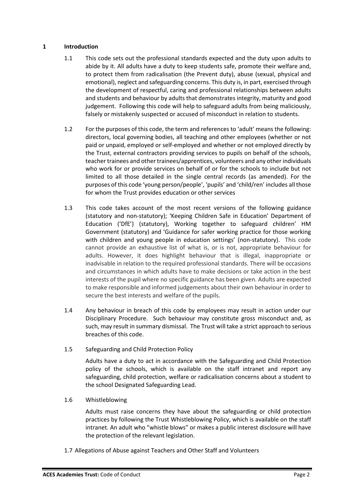#### **1 Introduction**

- 1.1 This code sets out the professional standards expected and the duty upon adults to abide by it. All adults have a duty to keep students safe, promote their welfare and, to protect them from radicalisation (the Prevent duty), abuse (sexual, physical and emotional), neglect and safeguarding concerns. This duty is, in part, exercised through the development of respectful, caring and professional relationships between adults and students and behaviour by adults that demonstrates integrity, maturity and good judgement. Following this code will help to safeguard adults from being maliciously, falsely or mistakenly suspected or accused of misconduct in relation to students.
- 1.2 For the purposes of this code, the term and references to 'adult' means the following: directors, local governing bodies, all teaching and other employees (whether or not paid or unpaid, employed or self-employed and whether or not employed directly by the Trust, external contractors providing services to pupils on behalf of the schools, teacher trainees and other trainees/apprentices, volunteers and any other individuals who work for or provide services on behalf of or for the schools to include but not limited to all those detailed in the single central records (as amended). For the purposes of this code 'young person/people', 'pupils' and 'child/ren' includes all those for whom the Trust provides education or other services
- 1.3 This code takes account of the most recent versions of the following guidance (statutory and non-statutory); 'Keeping Children Safe in Education' Department of Education ('DfE') (statutory), Working together to safeguard children' HM Government (statutory) and 'Guidance for safer working practice for those working with children and young people in education settings' (non-statutory). This code cannot provide an exhaustive list of what is, or is not, appropriate behaviour for adults. However, it does highlight behaviour that is illegal, inappropriate or inadvisable in relation to the required professional standards. There will be occasions and circumstances in which adults have to make decisions or take action in the best interests of the pupil where no specific guidance has been given. Adults are expected to make responsible and informed judgements about their own behaviour in order to secure the best interests and welfare of the pupils.
- 1.4 Any behaviour in breach of this code by employees may result in action under our Disciplinary Procedure. Such behaviour may constitute gross misconduct and, as such, may result in summary dismissal. The Trust will take a strict approach to serious breaches of this code.
- 1.5 Safeguarding and Child Protection Policy

Adults have a duty to act in accordance with the Safeguarding and Child Protection policy of the schools, which is available on the staff intranet and report any safeguarding, child protection, welfare or radicalisation concerns about a student to the school Designated Safeguarding Lead.

1.6 Whistleblowing

Adults must raise concerns they have about the safeguarding or child protection practices by following the Trust Whistleblowing Policy, which is available on the staff intranet*.* An adult who "whistle blows" or makes a public interest disclosure will have the protection of the relevant legislation.

1.7 Allegations of Abuse against Teachers and Other Staff and Volunteers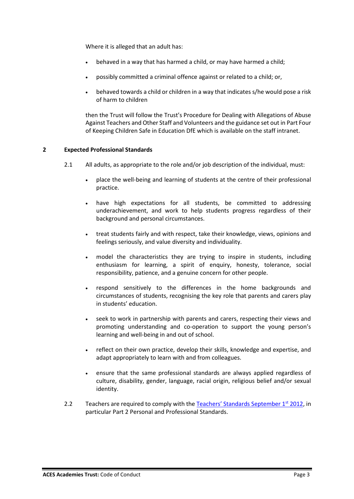Where it is alleged that an adult has:

- behaved in a way that has harmed a child, or may have harmed a child;
- possibly committed a criminal offence against or related to a child; or,
- behaved towards a child or children in a way that indicates s/he would pose a risk of harm to children

then the Trust will follow the Trust's Procedure for Dealing with Allegations of Abuse Against Teachers and Other Staff and Volunteers and the guidance set out in Part Four of Keeping Children Safe in Education DfE which is available on the staff intranet.

#### **2 Expected Professional Standards**

- 2.1 All adults, as appropriate to the role and/or job description of the individual, must:
	- place the well-being and learning of students at the centre of their professional practice.
	- have high expectations for all students, be committed to addressing underachievement, and work to help students progress regardless of their background and personal circumstances.
	- treat students fairly and with respect, take their knowledge, views, opinions and feelings seriously, and value diversity and individuality.
	- model the characteristics they are trying to inspire in students, including enthusiasm for learning, a spirit of enquiry, honesty, tolerance, social responsibility, patience, and a genuine concern for other people.
	- respond sensitively to the differences in the home backgrounds and circumstances of students, recognising the key role that parents and carers play in students' education.
	- seek to work in partnership with parents and carers, respecting their views and promoting understanding and co-operation to support the young person's learning and well-being in and out of school.
	- reflect on their own practice, develop their skills, knowledge and expertise, and adapt appropriately to learn with and from colleagues.
	- ensure that the same professional standards are always applied regardless of culture, disability, gender, language, racial origin, religious belief and/or sexual identity.
- 2.2 Teachers are required to comply with the Teachers' Standards September  $1^{st}$  2012, in particular Part 2 Personal and Professional Standards.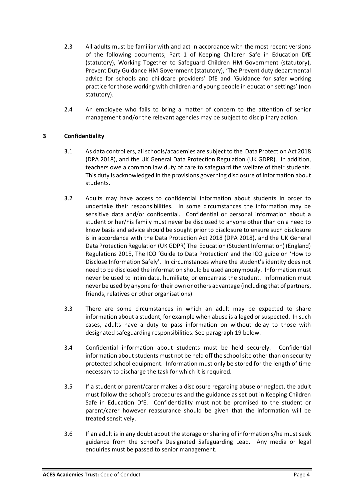- 2.3 All adults must be familiar with and act in accordance with the most recent versions of the following documents; Part 1 of Keeping Children Safe in Education DfE (statutory), Working Together to Safeguard Children HM Government (statutory), Prevent Duty Guidance HM Government (statutory), 'The Prevent duty departmental advice for schools and childcare providers' DfE and 'Guidance for safer working practice for those working with children and young people in education settings' (non statutory).
- 2.4 An employee who fails to bring a matter of concern to the attention of senior management and/or the relevant agencies may be subject to disciplinary action.

# **3 Confidentiality**

- 3.1 As data controllers, all schools/academies are subject to the Data Protection Act 2018 (DPA 2018), and the UK General Data Protection Regulation (UK GDPR). In addition, teachers owe a common law duty of care to safeguard the welfare of their students. This duty is acknowledged in the provisions governing disclosure of information about students.
- 3.2 Adults may have access to confidential information about students in order to undertake their responsibilities. In some circumstances the information may be sensitive data and/or confidential. Confidential or personal information about a student or her/his family must never be disclosed to anyone other than on a need to know basis and advice should be sought prior to disclosure to ensure such disclosure is in accordance with the Data Protection Act 2018 (DPA 2018), and the UK General Data Protection Regulation (UK GDPR) The Education (Student Information) (England) Regulations 2015, The ICO 'Guide to Data Protection' and the ICO guide on 'How to Disclose Information Safely'. In circumstances where the student's identity does not need to be disclosed the information should be used anonymously. Information must never be used to intimidate, humiliate, or embarrass the student. Information must never be used by anyone for their own or others advantage (including that of partners, friends, relatives or other organisations).
- 3.3 There are some circumstances in which an adult may be expected to share information about a student, for example when abuse is alleged or suspected. In such cases, adults have a duty to pass information on without delay to those with designated safeguarding responsibilities. See paragraph 19 below.
- 3.4 Confidential information about students must be held securely. Confidential information about students must not be held off the schoolsite other than on security protected school equipment. Information must only be stored for the length of time necessary to discharge the task for which it is required.
- 3.5 If a student or parent/carer makes a disclosure regarding abuse or neglect, the adult must follow the school's procedures and the guidance as set out in Keeping Children Safe in Education DfE. Confidentiality must not be promised to the student or parent/carer however reassurance should be given that the information will be treated sensitively.
- 3.6 If an adult is in any doubt about the storage or sharing of information s/he must seek guidance from the school's Designated Safeguarding Lead. Any media or legal enquiries must be passed to senior management.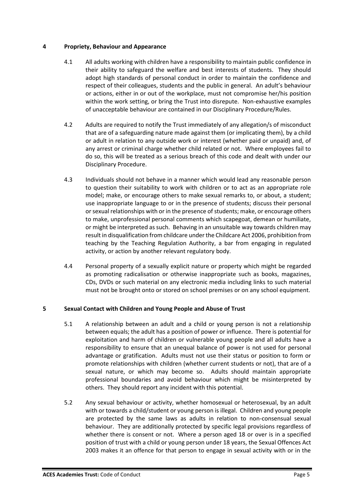#### **4 Propriety, Behaviour and Appearance**

- 4.1 All adults working with children have a responsibility to maintain public confidence in their ability to safeguard the welfare and best interests of students. They should adopt high standards of personal conduct in order to maintain the confidence and respect of their colleagues, students and the public in general. An adult's behaviour or actions, either in or out of the workplace, must not compromise her/his position within the work setting, or bring the Trust into disrepute. Non-exhaustive examples of unacceptable behaviour are contained in our Disciplinary Procedure/Rules.
- 4.2 Adults are required to notify the Trust immediately of any allegation/s of misconduct that are of a safeguarding nature made against them (or implicating them), by a child or adult in relation to any outside work or interest (whether paid or unpaid) and, of any arrest or criminal charge whether child related or not. Where employees fail to do so, this will be treated as a serious breach of this code and dealt with under our Disciplinary Procedure.
- 4.3 Individuals should not behave in a manner which would lead any reasonable person to question their suitability to work with children or to act as an appropriate role model; make, or encourage others to make sexual remarks to, or about, a student; use inappropriate language to or in the presence of students; discuss their personal or sexual relationships with or in the presence of students; make, or encourage others to make, unprofessional personal comments which scapegoat, demean or humiliate, or might be interpreted as such. Behaving in an unsuitable way towards children may result in disqualification from childcare under the Childcare Act 2006, prohibition from teaching by the Teaching Regulation Authority, a bar from engaging in regulated activity, or action by another relevant regulatory body.
- 4.4 Personal property of a sexually explicit nature or property which might be regarded as promoting radicalisation or otherwise inappropriate such as books, magazines, CDs, DVDs or such material on any electronic media including links to such material must not be brought onto or stored on school premises or on any school equipment.

# **5 Sexual Contact with Children and Young People and Abuse of Trust**

- 5.1 A relationship between an adult and a child or young person is not a relationship between equals; the adult has a position of power or influence. There is potential for exploitation and harm of children or vulnerable young people and all adults have a responsibility to ensure that an unequal balance of power is not used for personal advantage or gratification. Adults must not use their status or position to form or promote relationships with children (whether current students or not), that are of a sexual nature, or which may become so. Adults should maintain appropriate professional boundaries and avoid behaviour which might be misinterpreted by others. They should report any incident with this potential.
- 5.2 Any sexual behaviour or activity, whether homosexual or heterosexual, by an adult with or towards a child/student or young person is illegal. Children and young people are protected by the same laws as adults in relation to non-consensual sexual behaviour. They are additionally protected by specific legal provisions regardless of whether there is consent or not. Where a person aged 18 or over is in a specified position of trust with a child or young person under 18 years, the Sexual Offences Act 2003 makes it an offence for that person to engage in sexual activity with or in the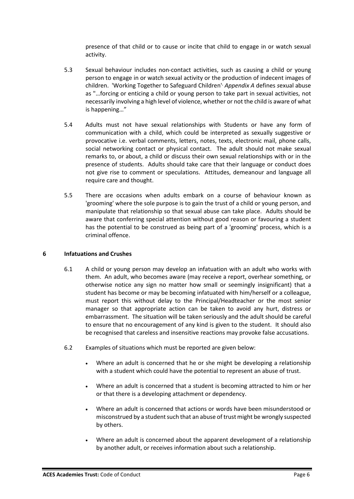presence of that child or to cause or incite that child to engage in or watch sexual activity.

- 5.3 Sexual behaviour includes non-contact activities, such as causing a child or young person to engage in or watch sexual activity or the production of indecent images of children. 'Working Together to Safeguard Children', *Appendix A* defines *s*exual abuse as "…forcing or enticing a child or young person to take part in sexual activities, not necessarily involving a high level of violence, whether or not the child is aware of what is happening…"
- 5.4 Adults must not have sexual relationships with Students or have any form of communication with a child, which could be interpreted as sexually suggestive or provocative i.e. verbal comments, letters, notes, texts, electronic mail, phone calls, social networking contact or physical contact. The adult should not make sexual remarks to, or about, a child or discuss their own sexual relationships with or in the presence of students. Adults should take care that their language or conduct does not give rise to comment or speculations. Attitudes, demeanour and language all require care and thought.
- 5.5 There are occasions when adults embark on a course of behaviour known as 'grooming' where the sole purpose is to gain the trust of a child or young person, and manipulate that relationship so that sexual abuse can take place. Adults should be aware that conferring special attention without good reason or favouring a student has the potential to be construed as being part of a 'grooming' process, which is a criminal offence.

#### **6 Infatuations and Crushes**

- 6.1 A child or young person may develop an infatuation with an adult who works with them. An adult, who becomes aware (may receive a report, overhear something, or otherwise notice any sign no matter how small or seemingly insignificant) that a student has become or may be becoming infatuated with him/herself or a colleague, must report this without delay to the Principal/Headteacher or the most senior manager so that appropriate action can be taken to avoid any hurt, distress or embarrassment. The situation will be taken seriously and the adult should be careful to ensure that no encouragement of any kind is given to the student. It should also be recognised that careless and insensitive reactions may provoke false accusations.
- 6.2 Examples of situations which must be reported are given below:
	- Where an adult is concerned that he or she might be developing a relationship with a student which could have the potential to represent an abuse of trust.
	- Where an adult is concerned that a student is becoming attracted to him or her or that there is a developing attachment or dependency.
	- Where an adult is concerned that actions or words have been misunderstood or misconstrued by a student such that an abuse of trust might be wrongly suspected by others.
	- Where an adult is concerned about the apparent development of a relationship by another adult, or receives information about such a relationship.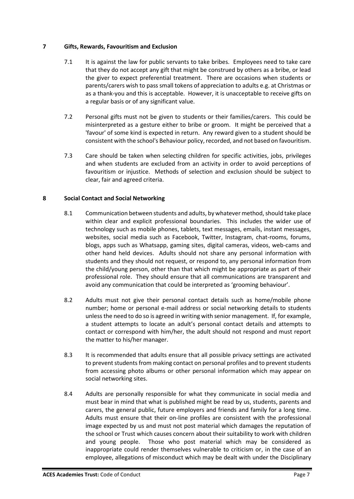#### **7 Gifts, Rewards, Favouritism and Exclusion**

- 7.1 It is against the law for public servants to take bribes. Employees need to take care that they do not accept any gift that might be construed by others as a bribe, or lead the giver to expect preferential treatment. There are occasions when students or parents/carers wish to pass small tokens of appreciation to adults e.g. at Christmas or as a thank-you and this is acceptable. However, it is unacceptable to receive gifts on a regular basis or of any significant value.
- 7.2 Personal gifts must not be given to students or their families/carers. This could be misinterpreted as a gesture either to bribe or groom. It might be perceived that a 'favour' of some kind is expected in return. Any reward given to a student should be consistent with the school's Behaviour policy, recorded, and not based on favouritism.
- 7.3 Care should be taken when selecting children for specific activities, jobs, privileges and when students are excluded from an activity in order to avoid perceptions of favouritism or injustice. Methods of selection and exclusion should be subject to clear, fair and agreed criteria.

#### **8 Social Contact and Social Networking**

- 8.1 Communication between students and adults, by whatever method, should take place within clear and explicit professional boundaries. This includes the wider use of technology such as mobile phones, tablets, text messages, emails, instant messages, websites, social media such as Facebook, Twitter, Instagram, chat-rooms, forums, blogs, apps such as Whatsapp, gaming sites, digital cameras, videos, web-cams and other hand held devices. Adults should not share any personal information with students and they should not request, or respond to, any personal information from the child/young person, other than that which might be appropriate as part of their professional role. They should ensure that all communications are transparent and avoid any communication that could be interpreted as 'grooming behaviour'.
- 8.2 Adults must not give their personal contact details such as home/mobile phone number; home or personal e-mail address or social networking details to students unless the need to do so is agreed in writing with senior management. If, for example, a student attempts to locate an adult's personal contact details and attempts to contact or correspond with him/her, the adult should not respond and must report the matter to his/her manager.
- 8.3 It is recommended that adults ensure that all possible privacy settings are activated to prevent students from making contact on personal profiles and to prevent students from accessing photo albums or other personal information which may appear on social networking sites.
- 8.4 Adults are personally responsible for what they communicate in social media and must bear in mind that what is published might be read by us, students, parents and carers, the general public, future employers and friends and family for a long time. Adults must ensure that their on-line profiles are consistent with the professional image expected by us and must not post material which damages the reputation of the school or Trust which causes concern about their suitability to work with children and young people. Those who post material which may be considered as inappropriate could render themselves vulnerable to criticism or, in the case of an employee, allegations of misconduct which may be dealt with under the Disciplinary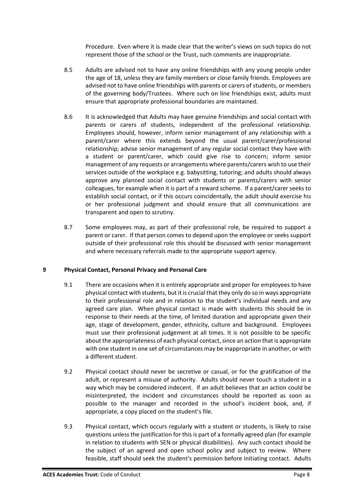Procedure. Even where it is made clear that the writer's views on such topics do not represent those of the school or the Trust, such comments are inappropriate.

- 8.5 Adults are advised not to have any online friendships with any young people under the age of 18, unless they are family members or close family friends. Employees are advised not to have online friendships with parents or carers of students, or members of the governing body/Trustees. Where such on line friendships exist, adults must ensure that appropriate professional boundaries are maintained.
- 8.6 It is acknowledged that Adults may have genuine friendships and social contact with parents or carers of students, independent of the professional relationship. Employees should, however, inform senior management of any relationship with a parent/carer where this extends beyond the usual parent/carer/professional relationship; advise senior management of any regular social contact they have with a student or parent/carer, which could give rise to concern; inform senior management of any requests or arrangements where parents/carers wish to use their services outside of the workplace e.g. babysitting, tutoring; and adults should always approve any planned social contact with students or parents/carers with senior colleagues, for example when it is part of a reward scheme. If a parent/carer seeks to establish social contact, or if this occurs coincidentally, the adult should exercise his or her professional judgment and should ensure that all communications are transparent and open to scrutiny.
- 8.7 Some employees may, as part of their professional role, be required to support a parent or carer. If that person comes to depend upon the employee or seeks support outside of their professional role this should be discussed with senior management and where necessary referrals made to the appropriate support agency.

# **9 Physical Contact, Personal Privacy and Personal Care**

- 9.1 There are occasions when it is entirely appropriate and proper for employees to have physical contact with students, but it is crucial that they only do so in ways appropriate to their professional role and in relation to the student's individual needs and any agreed care plan. When physical contact is made with students this should be in response to their needs at the time, of limited duration and appropriate given their age, stage of development, gender, ethnicity, culture and background. Employees must use their professional judgement at all times. It is not possible to be specific about the appropriateness of each physical contact, since an action that is appropriate with one student in one set of circumstances may be inappropriate in another, or with a different student.
- 9.2 Physical contact should never be secretive or casual, or for the gratification of the adult, or represent a misuse of authority. Adults should never touch a student in a way which may be considered indecent. If an adult believes that an action could be misinterpreted, the incident and circumstances should be reported as soon as possible to the manager and recorded in the school's incident book, and, if appropriate, a copy placed on the student's file.
- 9.3 Physical contact, which occurs regularly with a student or students, is likely to raise questions unless the justification for this is part of a formally agreed plan (for example in relation to students with SEN or physical disabilities). Any such contact should be the subject of an agreed and open school policy and subject to review. Where feasible, staff should seek the student's permission before initiating contact. Adults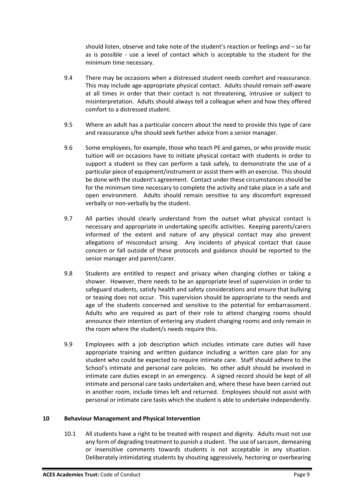should listen, observe and take note of the student's reaction or feelings and – so far as is possible - use a level of contact which is acceptable to the student for the minimum time necessary.

- 9.4 There may be occasions when a distressed student needs comfort and reassurance. This may include age-appropriate physical contact. Adults should remain self-aware at all times in order that their contact is not threatening, intrusive or subject to misinterpretation. Adults should always tell a colleague when and how they offered comfort to a distressed student.
- 9.5 Where an adult has a particular concern about the need to provide this type of care and reassurance s/he should seek further advice from a senior manager.
- 9.6 Some employees, for example, those who teach PE and games, or who provide music tuition will on occasions have to initiate physical contact with students in order to support a student so they can perform a task safely, to demonstrate the use of a particular piece of equipment/instrument or assist them with an exercise. This should be done with the student's agreement. Contact under these circumstances should be for the minimum time necessary to complete the activity and take place in a safe and open environment. Adults should remain sensitive to any discomfort expressed verbally or non-verbally by the student.
- 9.7 All parties should clearly understand from the outset what physical contact is necessary and appropriate in undertaking specific activities. Keeping parents/carers informed of the extent and nature of any physical contact may also prevent allegations of misconduct arising. Any incidents of physical contact that cause concern or fall outside of these protocols and guidance should be reported to the senior manager and parent/carer.
- 9.8 Students are entitled to respect and privacy when changing clothes or taking a shower. However, there needs to be an appropriate level of supervision in order to safeguard students, satisfy health and safety considerations and ensure that bullying or teasing does not occur. This supervision should be appropriate to the needs and age of the students concerned and sensitive to the potential for embarrassment. Adults who are required as part of their role to attend changing rooms should announce their intention of entering any student changing rooms and only remain in the room where the student/s needs require this.
- 9.9 Employees with a job description which includes intimate care duties will have appropriate training and written guidance including a written care plan for any student who could be expected to require intimate care. Staff should adhere to the School's intimate and personal care policies. No other adult should be involved in intimate care duties except in an emergency. A signed record should be kept of all intimate and personal care tasks undertaken and, where these have been carried out in another room, include times left and returned. Employees should not assist with personal or intimate care tasks which the student is able to undertake independently.

#### **10 Behaviour Management and Physical Intervention**

10.1 All students have a right to be treated with respect and dignity. Adults must not use any form of degrading treatment to punish a student. The use of sarcasm, demeaning or insensitive comments towards students is not acceptable in any situation. Deliberately intimidating students by shouting aggressively, hectoring or overbearing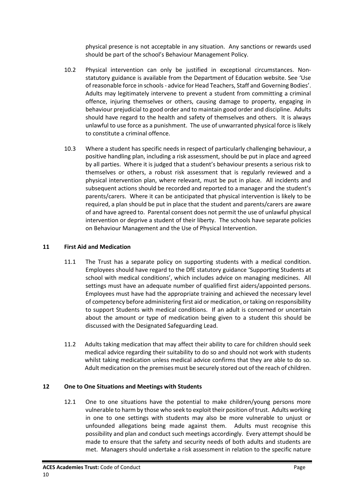physical presence is not acceptable in any situation. Any sanctions or rewards used should be part of the school's Behaviour Management Policy.

- 10.2 Physical intervention can only be justified in exceptional circumstances. Nonstatutory guidance is available from the Department of Education website. See 'Use of reasonable force in schools - advice for Head Teachers, Staff and Governing Bodies'. Adults may legitimately intervene to prevent a student from committing a criminal offence, injuring themselves or others, causing damage to property, engaging in behaviour prejudicial to good order and to maintain good order and discipline. Adults should have regard to the health and safety of themselves and others. It is always unlawful to use force as a punishment. The use of unwarranted physical force is likely to constitute a criminal offence.
- 10.3 Where a student has specific needs in respect of particularly challenging behaviour, a positive handling plan, including a risk assessment, should be put in place and agreed by all parties. Where it is judged that a student's behaviour presents a serious risk to themselves or others, a robust risk assessment that is regularly reviewed and a physical intervention plan, where relevant, must be put in place. All incidents and subsequent actions should be recorded and reported to a manager and the student's parents/carers. Where it can be anticipated that physical intervention is likely to be required, a plan should be put in place that the student and parents/carers are aware of and have agreed to. Parental consent does not permit the use of unlawful physical intervention or deprive a student of their liberty. The schools have separate policies on Behaviour Management and the Use of Physical Intervention.

# **11 First Aid and Medication**

- 11.1 The Trust has a separate policy on supporting students with a medical condition. Employees should have regard to the DfE statutory guidance 'Supporting Students at school with medical conditions', which includes advice on managing medicines. All settings must have an adequate number of qualified first aiders/appointed persons. Employees must have had the appropriate training and achieved the necessary level of competency before administering first aid or medication, or taking on responsibility to support Students with medical conditions. If an adult is concerned or uncertain about the amount or type of medication being given to a student this should be discussed with the Designated Safeguarding Lead.
- 11.2 Adults taking medication that may affect their ability to care for children should seek medical advice regarding their suitability to do so and should not work with students whilst taking medication unless medical advice confirms that they are able to do so. Adult medication on the premises must be securely stored out of the reach of children.

# **12 One to One Situations and Meetings with Students**

12.1 One to one situations have the potential to make children/young persons more vulnerable to harm by those who seek to exploit their position of trust. Adults working in one to one settings with students may also be more vulnerable to unjust or unfounded allegations being made against them. Adults must recognise this possibility and plan and conduct such meetings accordingly. Every attempt should be made to ensure that the safety and security needs of both adults and students are met. Managers should undertake a risk assessment in relation to the specific nature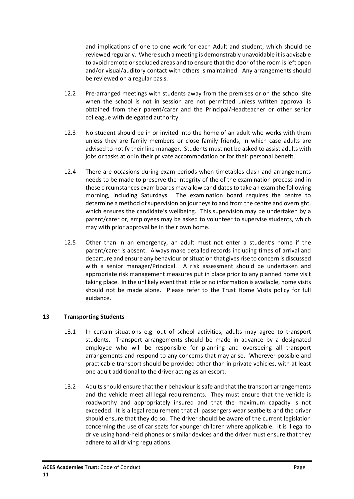and implications of one to one work for each Adult and student, which should be reviewed regularly. Where such a meeting is demonstrably unavoidable it is advisable to avoid remote or secluded areas and to ensure that the door of the room is left open and/or visual/auditory contact with others is maintained. Any arrangements should be reviewed on a regular basis.

- 12.2 Pre-arranged meetings with students away from the premises or on the school site when the school is not in session are not permitted unless written approval is obtained from their parent/carer and the Principal/Headteacher or other senior colleague with delegated authority.
- 12.3 No student should be in or invited into the home of an adult who works with them unless they are family members or close family friends, in which case adults are advised to notify their line manager. Students must not be asked to assist adults with jobs or tasks at or in their private accommodation or for their personal benefit.
- 12.4 There are occasions during exam periods when timetables clash and arrangements needs to be made to preserve the integrity of the of the examination process and in these circumstances exam boards may allow candidates to take an exam the following morning, including Saturdays. The examination board requires the centre to determine a method of supervision on journeys to and from the centre and overnight, which ensures the candidate's wellbeing. This supervision may be undertaken by a parent/carer or, employees may be asked to volunteer to supervise students, which may with prior approval be in their own home.
- 12.5 Other than in an emergency, an adult must not enter a student's home if the parent/carer is absent. Always make detailed records including times of arrival and departure and ensure any behaviour or situation that gives rise to concern is discussed with a senior manager/Principal. A risk assessment should be undertaken and appropriate risk management measures put in place prior to any planned home visit taking place. In the unlikely event that little or no information is available, home visits should not be made alone. Please refer to the Trust Home Visits policy for full guidance.

# **13 Transporting Students**

- 13.1 In certain situations e.g. out of school activities, adults may agree to transport students. Transport arrangements should be made in advance by a designated employee who will be responsible for planning and overseeing all transport arrangements and respond to any concerns that may arise. Wherever possible and practicable transport should be provided other than in private vehicles, with at least one adult additional to the driver acting as an escort.
- 13.2 Adults should ensure that their behaviour is safe and that the transport arrangements and the vehicle meet all legal requirements. They must ensure that the vehicle is roadworthy and appropriately insured and that the maximum capacity is not exceeded. It is a legal requirement that all passengers wear seatbelts and the driver should ensure that they do so. The driver should be aware of the current legislation concerning the use of car seats for younger children where applicable. It is illegal to drive using hand-held phones or similar devices and the driver must ensure that they adhere to all driving regulations.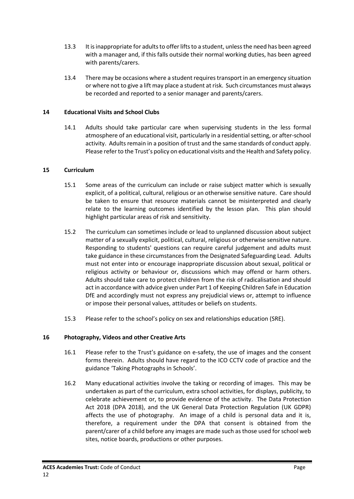- 13.3 It is inappropriate for adultsto offer lifts to a student, unless the need has been agreed with a manager and, if this falls outside their normal working duties, has been agreed with parents/carers.
- 13.4 There may be occasions where a student requires transport in an emergency situation or where not to give a lift may place a student at risk. Such circumstances must always be recorded and reported to a senior manager and parents/carers.

# **14 Educational Visits and School Clubs**

14.1 Adults should take particular care when supervising students in the less formal atmosphere of an educational visit, particularly in a residential setting, or after-school activity. Adults remain in a position of trust and the same standards of conduct apply. Please refer to the Trust's policy on educational visits and the Health and Safety policy.

# **15 Curriculum**

- 15.1 Some areas of the curriculum can include or raise subject matter which is sexually explicit, of a political, cultural, religious or an otherwise sensitive nature. Care should be taken to ensure that resource materials cannot be misinterpreted and clearly relate to the learning outcomes identified by the lesson plan. This plan should highlight particular areas of risk and sensitivity.
- 15.2 The curriculum can sometimes include or lead to unplanned discussion about subject matter of a sexually explicit, political, cultural, religious or otherwise sensitive nature. Responding to students' questions can require careful judgement and adults must take guidance in these circumstances from the Designated Safeguarding Lead. Adults must not enter into or encourage inappropriate discussion about sexual, political or religious activity or behaviour or, discussions which may offend or harm others. Adults should take care to protect children from the risk of radicalisation and should act in accordance with advice given under Part 1 of Keeping Children Safe in Education DfE and accordingly must not express any prejudicial views or, attempt to influence or impose their personal values, attitudes or beliefs on students.
- 15.3 Please refer to the school's policy on sex and relationships education (SRE).

# **16 Photography, Videos and other Creative Arts**

- 16.1 Please refer to the Trust's guidance on e-safety, the use of images and the consent forms therein. Adults should have regard to the ICO CCTV code of practice and the guidance 'Taking Photographs in Schools'.
- 16.2 Many educational activities involve the taking or recording of images. This may be undertaken as part of the curriculum, extra school activities, for displays, publicity, to celebrate achievement or, to provide evidence of the activity. The Data Protection Act 2018 (DPA 2018), and the UK General Data Protection Regulation (UK GDPR) affects the use of photography. An image of a child is personal data and it is, therefore, a requirement under the DPA that consent is obtained from the parent/carer of a child before any images are made such as those used for school web sites, notice boards, productions or other purposes.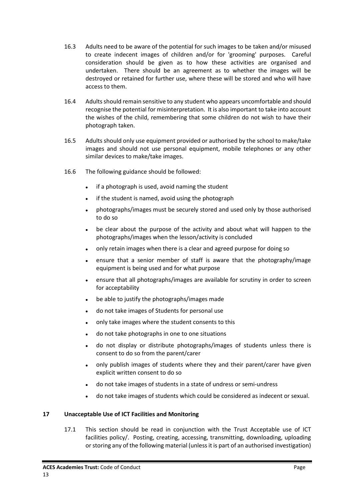- 16.3 Adults need to be aware of the potential for such images to be taken and/or misused to create indecent images of children and/or for 'grooming' purposes. Careful consideration should be given as to how these activities are organised and undertaken. There should be an agreement as to whether the images will be destroyed or retained for further use, where these will be stored and who will have access to them.
- 16.4 Adultsshould remain sensitive to any student who appears uncomfortable and should recognise the potential for misinterpretation. It is also important to take into account the wishes of the child, remembering that some children do not wish to have their photograph taken.
- 16.5 Adults should only use equipment provided or authorised by the school to make/take images and should not use personal equipment, mobile telephones or any other similar devices to make/take images.
- 16.6 The following guidance should be followed:
	- if a photograph is used, avoid naming the student
	- if the student is named, avoid using the photograph
	- photographs/images must be securely stored and used only by those authorised to do so
	- be clear about the purpose of the activity and about what will happen to the photographs/images when the lesson/activity is concluded
	- only retain images when there is a clear and agreed purpose for doing so
	- ensure that a senior member of staff is aware that the photography/image equipment is being used and for what purpose
	- ensure that all photographs/images are available for scrutiny in order to screen for acceptability
	- be able to justify the photographs/images made
	- do not take images of Students for personal use
	- only take images where the student consents to this
	- do not take photographs in one to one situations
	- do not display or distribute photographs/images of students unless there is consent to do so from the parent/carer
	- only publish images of students where they and their parent/carer have given explicit written consent to do so
	- do not take images of students in a state of undress or semi-undress
	- do not take images of students which could be considered as indecent or sexual.

# **17 Unacceptable Use of ICT Facilities and Monitoring**

17.1 This section should be read in conjunction with the Trust Acceptable use of ICT facilities policy/. Posting, creating, accessing, transmitting, downloading, uploading or storing any of the following material (unless it is part of an authorised investigation)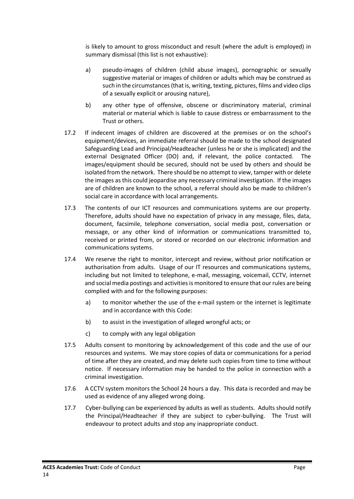is likely to amount to gross misconduct and result (where the adult is employed) in summary dismissal (this list is not exhaustive):

- a) pseudo-images of children (child abuse images), pornographic or sexually suggestive material or images of children or adults which may be construed as such in the circumstances (that is, writing, texting, pictures, films and video clips of a sexually explicit or arousing nature),
- b) any other type of offensive, obscene or discriminatory material, criminal material or material which is liable to cause distress or embarrassment to the Trust or others.
- 17.2 If indecent images of children are discovered at the premises or on the school's equipment/devices, an immediate referral should be made to the school designated Safeguarding Lead and Principal/Headteacher (unless he or she is implicated) and the external Designated Officer (DO) and, if relevant, the police contacted. The images/equipment should be secured, should not be used by others and should be isolated from the network. There should be no attempt to view, tamper with or delete the images as this could jeopardise any necessary criminal investigation. If the images are of children are known to the school, a referral should also be made to children's social care in accordance with local arrangements.
- 17.3 The contents of our ICT resources and communications systems are our property. Therefore, adults should have no expectation of privacy in any message, files, data, document, facsimile, telephone conversation, social media post, conversation or message, or any other kind of information or communications transmitted to, received or printed from, or stored or recorded on our electronic information and communications systems.
- 17.4 We reserve the right to monitor, intercept and review, without prior notification or authorisation from adults. Usage of our IT resources and communications systems, including but not limited to telephone, e-mail, messaging, voicemail, CCTV, internet and social media postings and activities is monitored to ensure that our rules are being complied with and for the following purposes:
	- a) to monitor whether the use of the e-mail system or the internet is legitimate and in accordance with this Code:
	- b) to assist in the investigation of alleged wrongful acts; or
	- c) to comply with any legal obligation
- 17.5 Adults consent to monitoring by acknowledgement of this code and the use of our resources and systems. We may store copies of data or communications for a period of time after they are created, and may delete such copies from time to time without notice. If necessary information may be handed to the police in connection with a criminal investigation.
- 17.6 A CCTV system monitors the School 24 hours a day. This data is recorded and may be used as evidence of any alleged wrong doing.
- 17.7 Cyber-bullying can be experienced by adults as well as students. Adults should notify the Principal/Headteacher if they are subject to cyber-bullying. The Trust will endeavour to protect adults and stop any inappropriate conduct.